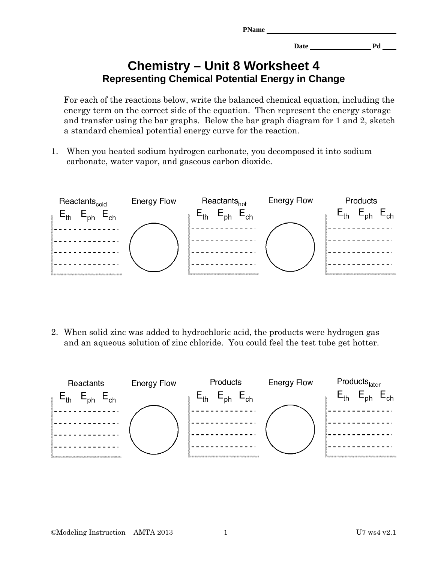| <b>PName</b> |      |    |
|--------------|------|----|
|              | Date | Pd |

## **Chemistry – Unit 8 Worksheet 4 Representing Chemical Potential Energy in Change**

For each of the reactions below, write the balanced chemical equation, including the energy term on the correct side of the equation. Then represent the energy storage and transfer using the bar graphs. Below the bar graph diagram for 1 and 2, sketch a standard chemical potential energy curve for the reaction.

1. When you heated sodium hydrogen carbonate, you decomposed it into sodium carbonate, water vapor, and gaseous carbon dioxide.



2. When solid zinc was added to hydrochloric acid, the products were hydrogen gas and an aqueous solution of zinc chloride. You could feel the test tube get hotter.